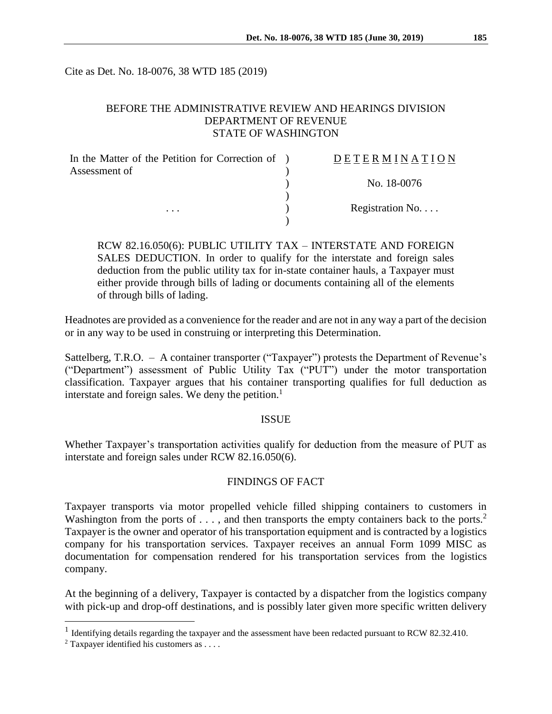Cite as Det. No. 18-0076, 38 WTD 185 (2019)

## BEFORE THE ADMINISTRATIVE REVIEW AND HEARINGS DIVISION DEPARTMENT OF REVENUE STATE OF WASHINGTON

| In the Matter of the Petition for Correction of ) | DETERMINATION   |
|---------------------------------------------------|-----------------|
| Assessment of                                     |                 |
|                                                   | No. 18-0076     |
|                                                   |                 |
| $\cdots$                                          | Registration No |
|                                                   |                 |

RCW 82.16.050(6): PUBLIC UTILITY TAX – INTERSTATE AND FOREIGN SALES DEDUCTION. In order to qualify for the interstate and foreign sales deduction from the public utility tax for in-state container hauls, a Taxpayer must either provide through bills of lading or documents containing all of the elements of through bills of lading.

Headnotes are provided as a convenience for the reader and are not in any way a part of the decision or in any way to be used in construing or interpreting this Determination.

Sattelberg, T.R.O. – A container transporter ("Taxpayer") protests the Department of Revenue's ("Department") assessment of Public Utility Tax ("PUT") under the motor transportation classification. Taxpayer argues that his container transporting qualifies for full deduction as interstate and foreign sales. We deny the petition.<sup>1</sup>

#### ISSUE

Whether Taxpayer's transportation activities qualify for deduction from the measure of PUT as interstate and foreign sales under RCW 82.16.050(6).

#### FINDINGS OF FACT

Taxpayer transports via motor propelled vehicle filled shipping containers to customers in Washington from the ports of ..., and then transports the empty containers back to the ports.<sup>2</sup> Taxpayer is the owner and operator of his transportation equipment and is contracted by a logistics company for his transportation services. Taxpayer receives an annual Form 1099 MISC as documentation for compensation rendered for his transportation services from the logistics company.

At the beginning of a delivery, Taxpayer is contacted by a dispatcher from the logistics company with pick-up and drop-off destinations, and is possibly later given more specific written delivery

 $\overline{a}$ 

<sup>&</sup>lt;sup>1</sup> Identifying details regarding the taxpayer and the assessment have been redacted pursuant to RCW 82.32.410.

<sup>&</sup>lt;sup>2</sup> Taxpayer identified his customers as . . . .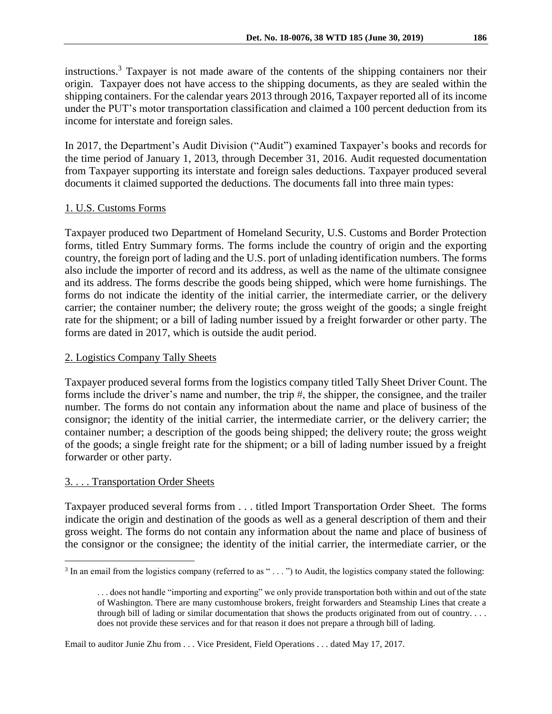instructions.<sup>3</sup> Taxpayer is not made aware of the contents of the shipping containers nor their origin. Taxpayer does not have access to the shipping documents, as they are sealed within the shipping containers. For the calendar years 2013 through 2016, Taxpayer reported all of its income under the PUT's motor transportation classification and claimed a 100 percent deduction from its income for interstate and foreign sales.

In 2017, the Department's Audit Division ("Audit") examined Taxpayer's books and records for the time period of January 1, 2013, through December 31, 2016. Audit requested documentation from Taxpayer supporting its interstate and foreign sales deductions. Taxpayer produced several documents it claimed supported the deductions. The documents fall into three main types:

# 1. U.S. Customs Forms

Taxpayer produced two Department of Homeland Security, U.S. Customs and Border Protection forms, titled Entry Summary forms. The forms include the country of origin and the exporting country, the foreign port of lading and the U.S. port of unlading identification numbers. The forms also include the importer of record and its address, as well as the name of the ultimate consignee and its address. The forms describe the goods being shipped, which were home furnishings. The forms do not indicate the identity of the initial carrier, the intermediate carrier, or the delivery carrier; the container number; the delivery route; the gross weight of the goods; a single freight rate for the shipment; or a bill of lading number issued by a freight forwarder or other party. The forms are dated in 2017, which is outside the audit period.

## 2. Logistics Company Tally Sheets

Taxpayer produced several forms from the logistics company titled Tally Sheet Driver Count. The forms include the driver's name and number, the trip #, the shipper, the consignee, and the trailer number. The forms do not contain any information about the name and place of business of the consignor; the identity of the initial carrier, the intermediate carrier, or the delivery carrier; the container number; a description of the goods being shipped; the delivery route; the gross weight of the goods; a single freight rate for the shipment; or a bill of lading number issued by a freight forwarder or other party.

## 3. . . . Transportation Order Sheets

 $\overline{a}$ 

Taxpayer produced several forms from . . . titled Import Transportation Order Sheet. The forms indicate the origin and destination of the goods as well as a general description of them and their gross weight. The forms do not contain any information about the name and place of business of the consignor or the consignee; the identity of the initial carrier, the intermediate carrier, or the

Email to auditor Junie Zhu from . . . Vice President, Field Operations . . . dated May 17, 2017.

 $3$  In an email from the logistics company (referred to as " $\dots$ ") to Audit, the logistics company stated the following:

<sup>. . .</sup> does not handle "importing and exporting" we only provide transportation both within and out of the state of Washington. There are many customhouse brokers, freight forwarders and Steamship Lines that create a through bill of lading or similar documentation that shows the products originated from out of country. . . . does not provide these services and for that reason it does not prepare a through bill of lading.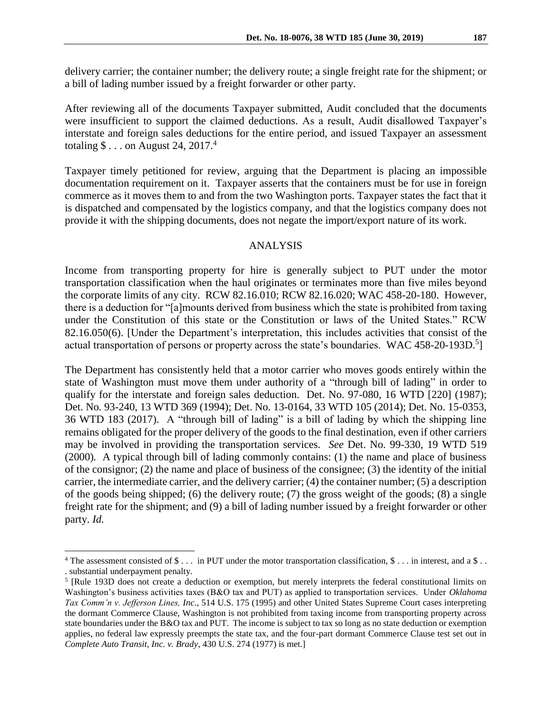delivery carrier; the container number; the delivery route; a single freight rate for the shipment; or a bill of lading number issued by a freight forwarder or other party.

After reviewing all of the documents Taxpayer submitted, Audit concluded that the documents were insufficient to support the claimed deductions. As a result, Audit disallowed Taxpayer's interstate and foreign sales deductions for the entire period, and issued Taxpayer an assessment totaling  $\$\dots$  on August 24, 2017.<sup>4</sup>

Taxpayer timely petitioned for review, arguing that the Department is placing an impossible documentation requirement on it. Taxpayer asserts that the containers must be for use in foreign commerce as it moves them to and from the two Washington ports. Taxpayer states the fact that it is dispatched and compensated by the logistics company, and that the logistics company does not provide it with the shipping documents, does not negate the import/export nature of its work.

#### ANALYSIS

Income from transporting property for hire is generally subject to PUT under the motor transportation classification when the haul originates or terminates more than five miles beyond the corporate limits of any city. RCW 82.16.010; RCW 82.16.020; WAC 458-20-180. However, there is a deduction for "[a]mounts derived from business which the state is prohibited from taxing under the Constitution of this state or the Constitution or laws of the United States." RCW 82.16.050(6). [Under the Department's interpretation, this includes activities that consist of the actual transportation of persons or property across the state's boundaries. WAC 458-20-193D.<sup>5</sup>]

The Department has consistently held that a motor carrier who moves goods entirely within the state of Washington must move them under authority of a "through bill of lading" in order to qualify for the interstate and foreign sales deduction. Det. No. 97-080, 16 WTD [220] (1987); Det. No*.* 93-240, 13 WTD 369 (1994); Det. No*.* 13-0164, 33 WTD 105 (2014); Det. No. 15-0353, 36 WTD 183 (2017). A "through bill of lading" is a bill of lading by which the shipping line remains obligated for the proper delivery of the goods to the final destination, even if other carriers may be involved in providing the transportation services. *See* Det. No. 99-330, 19 WTD 519 (2000)*.* A typical through bill of lading commonly contains: (1) the name and place of business of the consignor; (2) the name and place of business of the consignee; (3) the identity of the initial carrier, the intermediate carrier, and the delivery carrier; (4) the container number; (5) a description of the goods being shipped; (6) the delivery route; (7) the gross weight of the goods; (8) a single freight rate for the shipment; and (9) a bill of lading number issued by a freight forwarder or other party. *Id.*

 $\overline{a}$ 

<sup>&</sup>lt;sup>4</sup> The assessment consisted of \$ . . . in PUT under the motor transportation classification, \$ . . . in interest, and a \$ . . . substantial underpayment penalty.

<sup>&</sup>lt;sup>5</sup> [Rule 193D does not create a deduction or exemption, but merely interprets the federal constitutional limits on Washington's business activities taxes (B&O tax and PUT) as applied to transportation services. Under *Oklahoma Tax Comm'n v. Jefferson Lines, Inc*., 514 U.S. 175 (1995) and other United States Supreme Court cases interpreting the dormant Commerce Clause, Washington is not prohibited from taxing income from transporting property across state boundaries under the B&O tax and PUT. The income is subject to tax so long as no state deduction or exemption applies, no federal law expressly preempts the state tax, and the four-part dormant Commerce Clause test set out in *Complete Auto Transit, Inc. v. Brady*, 430 U.S. 274 (1977) is met.]